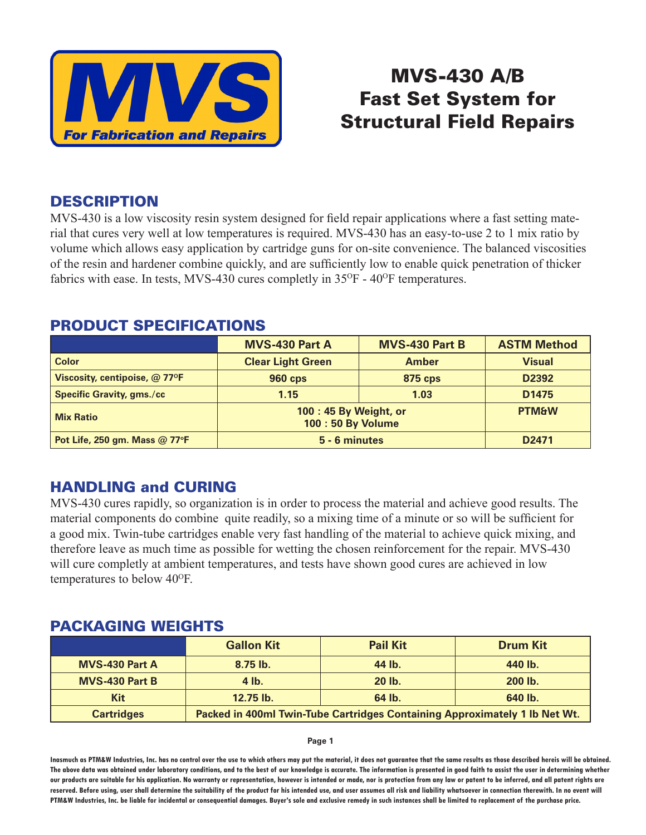

# MVS-430 A/B Fast Set System for Structural Field Repairs

### DESCRIPTION

MVS-430 is a low viscosity resin system designed for field repair applications where a fast setting material that cures very well at low temperatures is required. MVS-430 has an easy-to-use 2 to 1 mix ratio by volume which allows easy application by cartridge guns for on-site convenience. The balanced viscosities of the resin and hardener combine quickly, and are sufficiently low to enable quick penetration of thicker fabrics with ease. In tests, MVS-430 cures completly in  $35^{\circ}F - 40^{\circ}F$  temperatures.

## PRODUCT SPECIFICATIONS

|                                          | <b>MVS-430 Part A</b>                     | <b>MVS-430 Part B</b> | <b>ASTM Method</b> |
|------------------------------------------|-------------------------------------------|-----------------------|--------------------|
| <b>Color</b>                             | <b>Clear Light Green</b>                  | <b>Amber</b>          | <b>Visual</b>      |
| Viscosity, centipoise, $@$ 77 ${}^{o}$ F | <b>960 cps</b>                            | <b>875 cps</b>        | D <sub>2392</sub>  |
| <b>Specific Gravity, gms./cc</b>         | 1.15                                      | 1.03                  | D <sub>1475</sub>  |
| <b>Mix Ratio</b>                         | 100:45 By Weight, or<br>100: 50 By Volume |                       | <b>PTM&amp;W</b>   |
| Pot Life, 250 gm. Mass @ 77°F            | 5 - 6 minutes                             |                       | D <sub>2471</sub>  |

## HANDLING and CURING

MVS-430 cures rapidly, so organization is in order to process the material and achieve good results. The material components do combine quite readily, so a mixing time of a minute or so will be sufficient for a good mix. Twin-tube cartridges enable very fast handling of the material to achieve quick mixing, and therefore leave as much time as possible for wetting the chosen reinforcement for the repair. MVS-430 will cure completly at ambient temperatures, and tests have shown good cures are achieved in low temperatures to below 40<sup>o</sup>F.

#### PACKAGING WEIGHTS

|                       | <b>Gallon Kit</b>                                                          | <b>Pail Kit</b> | <b>Drum Kit</b> |
|-----------------------|----------------------------------------------------------------------------|-----------------|-----------------|
| <b>MVS-430 Part A</b> | $8.75$ lb.                                                                 | 44 lb.          | 440 lb.         |
| <b>MVS-430 Part B</b> | $4$ lb.                                                                    | 20 lb.          | 200 lb.         |
| <b>Kit</b>            | 12.75 lb.                                                                  | 64 lb.          | 640 lb.         |
| <b>Cartridges</b>     | Packed in 400ml Twin-Tube Cartridges Containing Approximately 1 Ib Net Wt. |                 |                 |

**Page 1**

**Inasmuch as PTM&W Industries, Inc. has no control over the use to which others may put the material, it does not guarantee that the same results as those described hereis will be obtained. The above data was obtained under laboratory conditions, and to the best of our knowledge is accurate. The information is presented in good faith to assist the user in determining whether our products are suitable for his application. No warranty or representation, however is intended or made, nor is protection from any law or patent to be inferred, and all patent rights are**  reserved. Before using, user shall determine the suitability of the product for his intended use, and user assumes all risk and liability whatsoever in connection therewith. In no event will **PTM&W Industries, Inc. be liable for incidental or consequential damages. Buyer's sole and exclusive remedy in such instances shall be limited to replacement of the purchase price.**